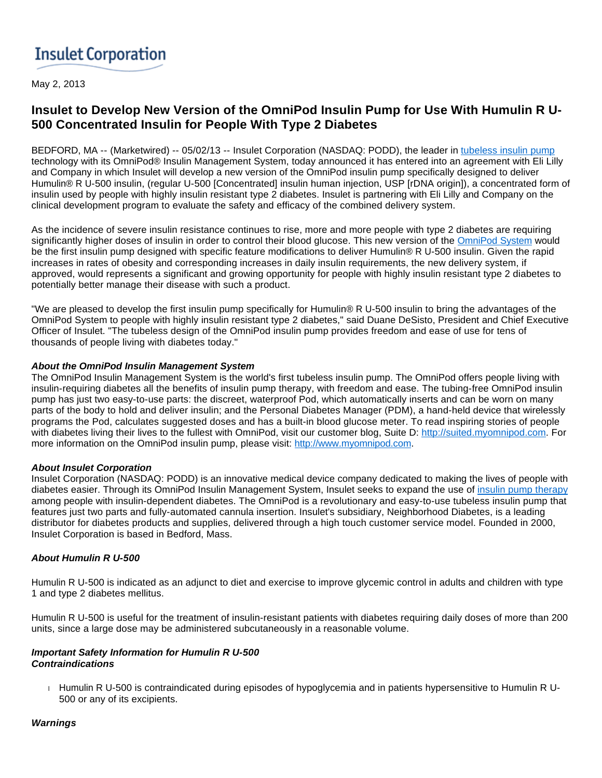# **Insulet Corporation**

May 2, 2013

## **Insulet to Develop New Version of the OmniPod Insulin Pump for Use With Humulin R U-500 Concentrated Insulin for People With Type 2 Diabetes**

BEDFORD, MA -- (Marketwired) -- 05/02/13 -- Insulet Corporation (NASDAQ: PODD), the leader in [tubeless insulin pump](http://ctt.marketwire.com/?release=1012994&id=2933224&type=1&url=http%3a%2f%2fwww.myomnipod.com%2fabout-omnipod%2fsystem-overview%2f) technology with its OmniPod® Insulin Management System, today announced it has entered into an agreement with Eli Lilly and Company in which Insulet will develop a new version of the OmniPod insulin pump specifically designed to deliver Humulin® R U-500 insulin, (regular U-500 [Concentrated] insulin human injection, USP [rDNA origin]), a concentrated form of insulin used by people with highly insulin resistant type 2 diabetes. Insulet is partnering with Eli Lilly and Company on the clinical development program to evaluate the safety and efficacy of the combined delivery system.

As the incidence of severe insulin resistance continues to rise, more and more people with type 2 diabetes are requiring significantly higher doses of insulin in order to control their blood glucose. This new version of the [OmniPod System](http://ctt.marketwire.com/?release=1012994&id=2933227&type=1&url=http%3a%2f%2fwww.myomnipod.com%2fabout-omnipod%2f) would be the first insulin pump designed with specific feature modifications to deliver Humulin® R U-500 insulin. Given the rapid increases in rates of obesity and corresponding increases in daily insulin requirements, the new delivery system, if approved, would represents a significant and growing opportunity for people with highly insulin resistant type 2 diabetes to potentially better manage their disease with such a product.

"We are pleased to develop the first insulin pump specifically for Humulin® R U-500 insulin to bring the advantages of the OmniPod System to people with highly insulin resistant type 2 diabetes," said Duane DeSisto, President and Chief Executive Officer of Insulet. "The tubeless design of the OmniPod insulin pump provides freedom and ease of use for tens of thousands of people living with diabetes today."

## **About the OmniPod Insulin Management System**

The OmniPod Insulin Management System is the world's first tubeless insulin pump. The OmniPod offers people living with insulin-requiring diabetes all the benefits of insulin pump therapy, with freedom and ease. The tubing-free OmniPod insulin pump has just two easy-to-use parts: the discreet, waterproof Pod, which automatically inserts and can be worn on many parts of the body to hold and deliver insulin; and the Personal Diabetes Manager (PDM), a hand-held device that wirelessly programs the Pod, calculates suggested doses and has a built-in blood glucose meter. To read inspiring stories of people with diabetes living their lives to the fullest with OmniPod, visit our customer blog, Suite D: [http://suited.myomnipod.com](http://ctt.marketwire.com/?release=1012994&id=2933230&type=1&url=http%3a%2f%2fsuited.myomnipod.com%2f). For more information on the OmniPod insulin pump, please visit: [http://www.myomnipod.com](http://ctt.marketwire.com/?release=1012994&id=2933233&type=1&url=http%3a%2f%2fwww.myomnipod.com%2f).

## **About Insulet Corporation**

Insulet Corporation (NASDAQ: PODD) is an innovative medical device company dedicated to making the lives of people with diabetes easier. Through its OmniPod Insulin Management System, Insulet seeks to expand the use of [insulin pump therapy](http://ctt.marketwire.com/?release=1012994&id=2933236&type=1&url=http%3a%2f%2fwww.myomnipod.com%2fmanaging-diabetes%2fabout-pump-therapy%2f) among people with insulin-dependent diabetes. The OmniPod is a revolutionary and easy-to-use tubeless insulin pump that features just two parts and fully-automated cannula insertion. Insulet's subsidiary, Neighborhood Diabetes, is a leading distributor for diabetes products and supplies, delivered through a high touch customer service model. Founded in 2000, Insulet Corporation is based in Bedford, Mass.

## **About Humulin R U-500**

Humulin R U-500 is indicated as an adjunct to diet and exercise to improve glycemic control in adults and children with type 1 and type 2 diabetes mellitus.

Humulin R U-500 is useful for the treatment of insulin-resistant patients with diabetes requiring daily doses of more than 200 units, since a large dose may be administered subcutaneously in a reasonable volume.

#### **Important Safety Information for Humulin R U-500 Contraindications**

Humulin R U-500 is contraindicated during episodes of hypoglycemia and in patients hypersensitive to Humulin R U-500 or any of its excipients.

#### **Warnings**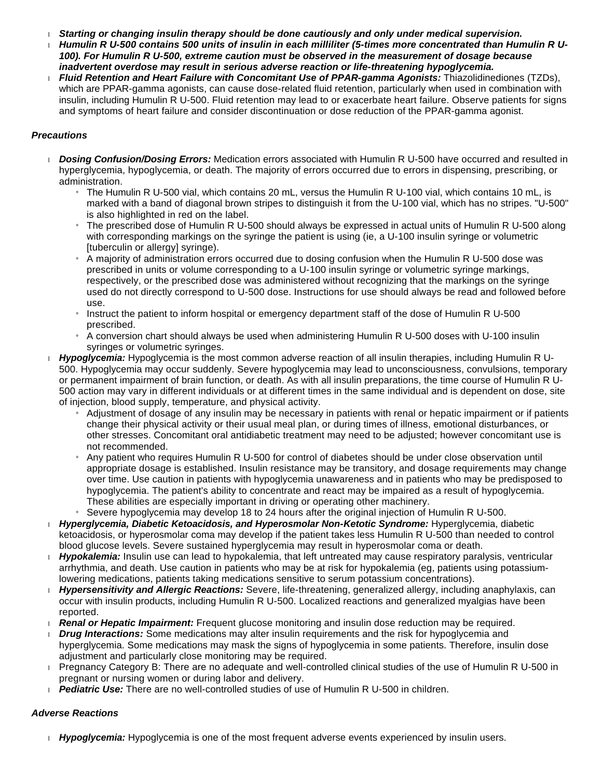- **Starting or changing insulin therapy should be done cautiously and only under medical supervision.**
- **Humulin R U-500 contains 500 units of insulin in each milliliter (5-times more concentrated than Humulin R U-100). For Humulin R U-500, extreme caution must be observed in the measurement of dosage because inadvertent overdose may result in serious adverse reaction or life-threatening hypoglycemia.**
- **Fluid Retention and Heart Failure with Concomitant Use of PPAR-gamma Agonists:** Thiazolidinediones (TZDs), which are PPAR-gamma agonists, can cause dose-related fluid retention, particularly when used in combination with insulin, including Humulin R U-500. Fluid retention may lead to or exacerbate heart failure. Observe patients for signs and symptoms of heart failure and consider discontinuation or dose reduction of the PPAR-gamma agonist.

## **Precautions**

- **Dosing Confusion/Dosing Errors:** Medication errors associated with Humulin R U-500 have occurred and resulted in hyperglycemia, hypoglycemia, or death. The majority of errors occurred due to errors in dispensing, prescribing, or administration.
	- » The Humulin R U-500 vial, which contains 20 mL, versus the Humulin R U-100 vial, which contains 10 mL, is marked with a band of diagonal brown stripes to distinguish it from the U-100 vial, which has no stripes. "U-500" is also highlighted in red on the label.
	- The prescribed dose of Humulin R U-500 should always be expressed in actual units of Humulin R U-500 along with corresponding markings on the syringe the patient is using (ie, a U-100 insulin syringe or volumetric [tuberculin or allergy] syringe).
	- $\mu$  A majority of administration errors occurred due to dosing confusion when the Humulin R U-500 dose was prescribed in units or volume corresponding to a U-100 insulin syringe or volumetric syringe markings, respectively, or the prescribed dose was administered without recognizing that the markings on the syringe used do not directly correspond to U-500 dose. Instructions for use should always be read and followed before use.
	- Instruct the patient to inform hospital or emergency department staff of the dose of Humulin R U-500 prescribed.
	- $\mu$  A conversion chart should always be used when administering Humulin R U-500 doses with U-100 insulin syringes or volumetric syringes.
- **Hypoglycemia:** Hypoglycemia is the most common adverse reaction of all insulin therapies, including Humulin R U-500. Hypoglycemia may occur suddenly. Severe hypoglycemia may lead to unconsciousness, convulsions, temporary or permanent impairment of brain function, or death. As with all insulin preparations, the time course of Humulin R U-500 action may vary in different individuals or at different times in the same individual and is dependent on dose, site of injection, blood supply, temperature, and physical activity.
	- » Adjustment of dosage of any insulin may be necessary in patients with renal or hepatic impairment or if patients change their physical activity or their usual meal plan, or during times of illness, emotional disturbances, or other stresses. Concomitant oral antidiabetic treatment may need to be adjusted; however concomitant use is not recommended.
	- » Any patient who requires Humulin R U-500 for control of diabetes should be under close observation until appropriate dosage is established. Insulin resistance may be transitory, and dosage requirements may change over time. Use caution in patients with hypoglycemia unawareness and in patients who may be predisposed to hypoglycemia. The patient's ability to concentrate and react may be impaired as a result of hypoglycemia. These abilities are especially important in driving or operating other machinery.
	- Severe hypoglycemia may develop 18 to 24 hours after the original injection of Humulin R U-500.
- **Hyperglycemia, Diabetic Ketoacidosis, and Hyperosmolar Non-Ketotic Syndrome:** Hyperglycemia, diabetic ketoacidosis, or hyperosmolar coma may develop if the patient takes less Humulin R U-500 than needed to control blood glucose levels. Severe sustained hyperglycemia may result in hyperosmolar coma or death.
- **Hypokalemia:** Insulin use can lead to hypokalemia, that left untreated may cause respiratory paralysis, ventricular arrhythmia, and death. Use caution in patients who may be at risk for hypokalemia (eg, patients using potassiumlowering medications, patients taking medications sensitive to serum potassium concentrations).
- **Hypersensitivity and Allergic Reactions:** Severe, life-threatening, generalized allergy, including anaphylaxis, can occur with insulin products, including Humulin R U-500. Localized reactions and generalized myalgias have been reported.
- **Renal or Hepatic Impairment:** Frequent glucose monitoring and insulin dose reduction may be required.
- **Drug Interactions:** Some medications may alter insulin requirements and the risk for hypoglycemia and hyperglycemia. Some medications may mask the signs of hypoglycemia in some patients. Therefore, insulin dose adjustment and particularly close monitoring may be required.
- Pregnancy Category B: There are no adequate and well-controlled clinical studies of the use of Humulin R U-500 in pregnant or nursing women or during labor and delivery.
- **Pediatric Use:** There are no well-controlled studies of use of Humulin R U-500 in children.

## **Adverse Reactions**

**Hypoglycemia:** Hypoglycemia is one of the most frequent adverse events experienced by insulin users.